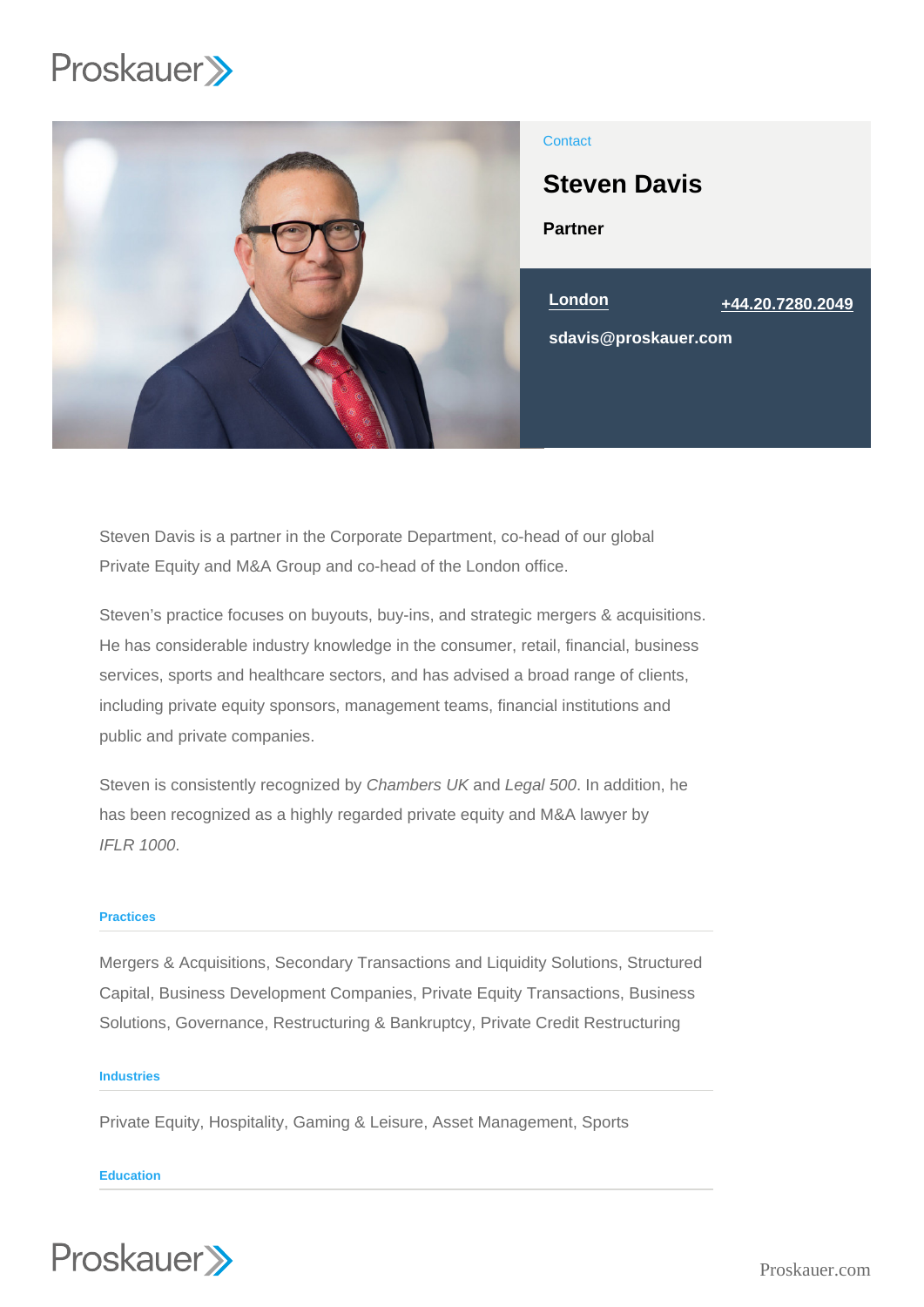

# **Contact**

Partner Steven Davis London [+44.20.7280.2049](tel:+44.20.7280.2049) sdavis@proskauer.com

Steven Davis is a partner in the Corporate Department, co-head of our global Private Equity and M&A Group and co-head of the London office.

Steven's practice focuses on buyouts, buy-ins, and strategic mergers & acquisitions. He has considerable industry knowledge in the consumer, retail, financial, business services, sports and healthcare sectors, and has advised a broad range of clients, including private equity sponsors, management teams, financial institutions and public and private companies.

Steven is consistently recognized by Chambers UK and Legal 500. In addition, he has been recognized as a highly regarded private equity and M&A lawyer by IFLR 1000.

## **Practices**

Mergers & Acquisitions, Secondary Transactions and Liquidity Solutions, Structured Capital, Business Development Companies, Private Equity Transactions, Business Solutions, Governance, Restructuring & Bankruptcy, Private Credit Restructuring

### **Industries**

Private Equity, Hospitality, Gaming & Leisure, Asset Management, Sports

#### **Education**